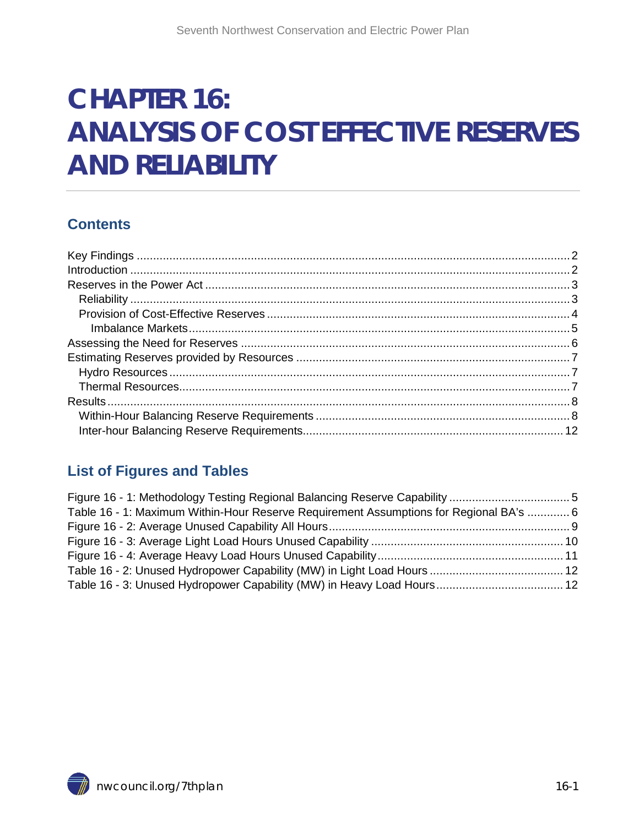# **CHAPTER 16: ANALYSIS OF COST EFFECTIVE RESERVES AND RELIABILITY**

#### **Contents**

#### **List of Figures and Tables**

| Table 16 - 1: Maximum Within-Hour Reserve Requirement Assumptions for Regional BA's  6 |  |
|----------------------------------------------------------------------------------------|--|
|                                                                                        |  |
|                                                                                        |  |
|                                                                                        |  |
|                                                                                        |  |
|                                                                                        |  |

<span id="page-0-0"></span>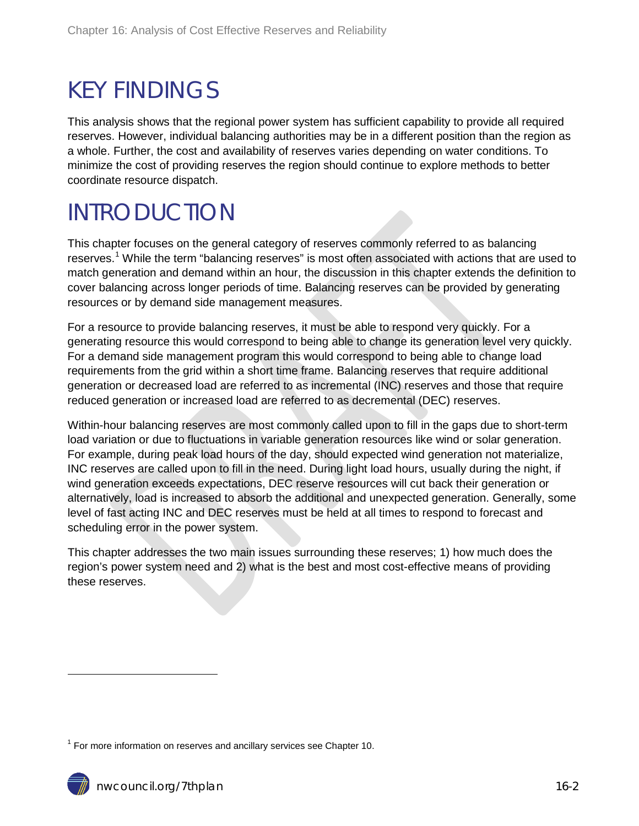## <span id="page-1-0"></span>KEY FINDINGS

This analysis shows that the regional power system has sufficient capability to provide all required reserves. However, individual balancing authorities may be in a different position than the region as a whole. Further, the cost and availability of reserves varies depending on water conditions. To minimize the cost of providing reserves the region should continue to explore methods to better coordinate resource dispatch.

## <span id="page-1-1"></span>INTRODUCTION

This chapter focuses on the general category of reserves commonly referred to as balancing reserves.<sup>[1](#page-0-0)</sup> While the term "balancing reserves" is most often associated with actions that are used to match generation and demand within an hour, the discussion in this chapter extends the definition to cover balancing across longer periods of time. Balancing reserves can be provided by generating resources or by demand side management measures.

For a resource to provide balancing reserves, it must be able to respond very quickly. For a generating resource this would correspond to being able to change its generation level very quickly. For a demand side management program this would correspond to being able to change load requirements from the grid within a short time frame. Balancing reserves that require additional generation or decreased load are referred to as incremental (INC) reserves and those that require reduced generation or increased load are referred to as decremental (DEC) reserves.

Within-hour balancing reserves are most commonly called upon to fill in the gaps due to short-term load variation or due to fluctuations in variable generation resources like wind or solar generation. For example, during peak load hours of the day, should expected wind generation not materialize, INC reserves are called upon to fill in the need. During light load hours, usually during the night, if wind generation exceeds expectations, DEC reserve resources will cut back their generation or alternatively, load is increased to absorb the additional and unexpected generation. Generally, some level of fast acting INC and DEC reserves must be held at all times to respond to forecast and scheduling error in the power system.

This chapter addresses the two main issues surrounding these reserves; 1) how much does the region's power system need and 2) what is the best and most cost-effective means of providing these reserves.

<span id="page-1-2"></span> $1$  For more information on reserves and ancillary services see Chapter 10.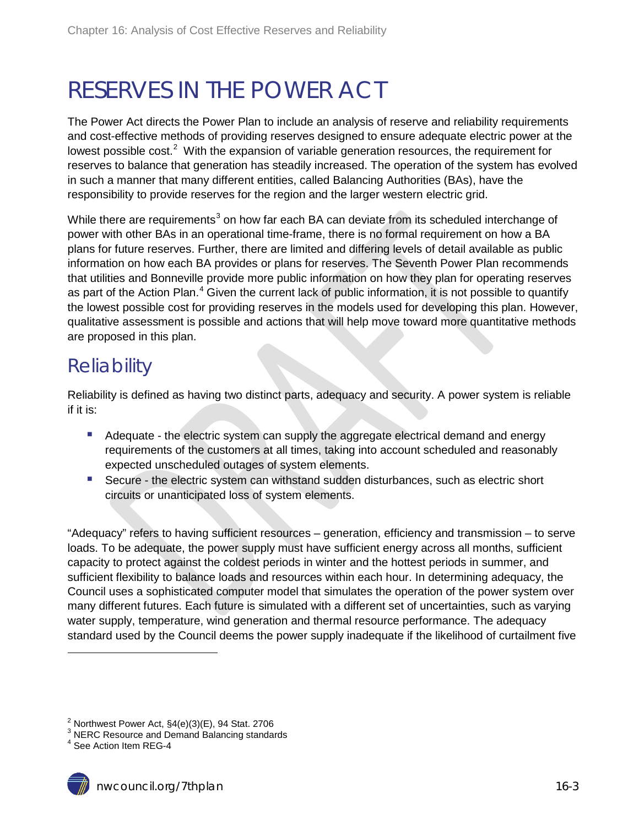## <span id="page-2-0"></span>RESERVES IN THE POWER ACT

The Power Act directs the Power Plan to include an analysis of reserve and reliability requirements and cost-effective methods of providing reserves designed to ensure adequate electric power at the lowest possible cost.<sup>[2](#page-1-2)</sup> With the expansion of variable generation resources, the requirement for reserves to balance that generation has steadily increased. The operation of the system has evolved in such a manner that many different entities, called Balancing Authorities (BAs), have the responsibility to provide reserves for the region and the larger western electric grid.

While there are requirements<sup>[3](#page-2-2)</sup> on how far each BA can deviate from its scheduled interchange of power with other BAs in an operational time-frame, there is no formal requirement on how a BA plans for future reserves. Further, there are limited and differing levels of detail available as public information on how each BA provides or plans for reserves. The Seventh Power Plan recommends that utilities and Bonneville provide more public information on how they plan for operating reserves as part of the Action Plan.<sup>[4](#page-2-3)</sup> Given the current lack of public information, it is not possible to quantify the lowest possible cost for providing reserves in the models used for developing this plan. However, qualitative assessment is possible and actions that will help move toward more quantitative methods are proposed in this plan.

### <span id="page-2-1"></span>**Reliability**

Reliability is defined as having two distinct parts, adequacy and security. A power system is reliable if it is:

- Adequate the electric system can supply the aggregate electrical demand and energy requirements of the customers at all times, taking into account scheduled and reasonably expected unscheduled outages of system elements.
- Secure the electric system can withstand sudden disturbances, such as electric short circuits or unanticipated loss of system elements.

"Adequacy" refers to having sufficient resources – generation, efficiency and transmission – to serve loads. To be adequate, the power supply must have sufficient energy across all months, sufficient capacity to protect against the coldest periods in winter and the hottest periods in summer, and sufficient flexibility to balance loads and resources within each hour. In determining adequacy, the Council uses a sophisticated computer model that simulates the operation of the power system over many different futures. Each future is simulated with a different set of uncertainties, such as varying water supply, temperature, wind generation and thermal resource performance. The adequacy standard used by the Council deems the power supply inadequate if the likelihood of curtailment five

 $\ddot{\phantom{a}}$ 

 $2^{2}$  Northwest Power Act,  $\S4(e)(3)(E)$ , 94 Stat. 2706

<span id="page-2-2"></span> $^3$  NERC Resource and Demand Balancing standards<br> $^4$  See Action Item REG-4

<span id="page-2-3"></span>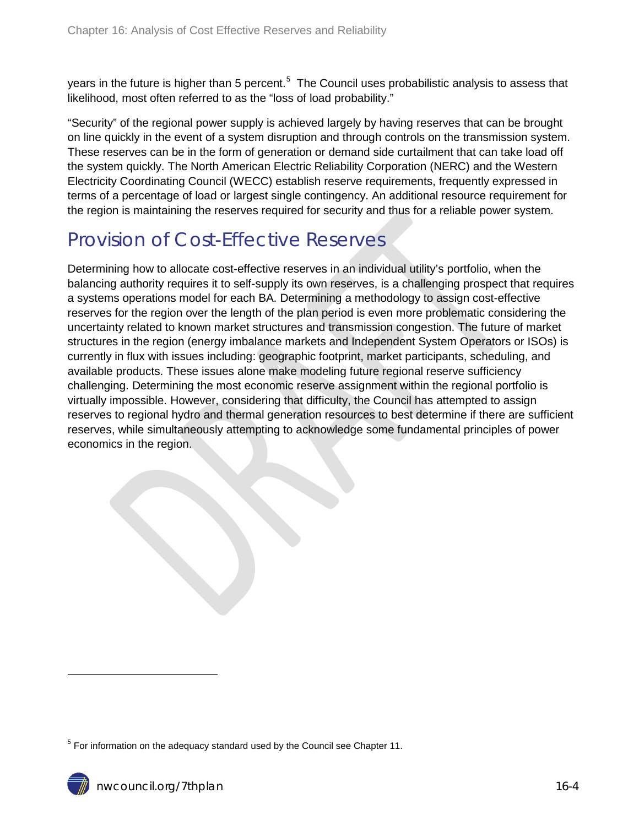years in the future is higher than [5](#page-2-3) percent.<sup>5</sup> The Council uses probabilistic analysis to assess that likelihood, most often referred to as the "loss of load probability."

"Security" of the regional power supply is achieved largely by having reserves that can be brought on line quickly in the event of a system disruption and through controls on the transmission system. These reserves can be in the form of generation or demand side curtailment that can take load off the system quickly. The North American Electric Reliability Corporation (NERC) and the Western Electricity Coordinating Council (WECC) establish reserve requirements, frequently expressed in terms of a percentage of load or largest single contingency. An additional resource requirement for the region is maintaining the reserves required for security and thus for a reliable power system.

### <span id="page-3-0"></span>Provision of Cost-Effective Reserves

Determining how to allocate cost-effective reserves in an individual utility's portfolio, when the balancing authority requires it to self-supply its own reserves, is a challenging prospect that requires a systems operations model for each BA. Determining a methodology to assign cost-effective reserves for the region over the length of the plan period is even more problematic considering the uncertainty related to known market structures and transmission congestion. The future of market structures in the region (energy imbalance markets and Independent System Operators or ISOs) is currently in flux with issues including: geographic footprint, market participants, scheduling, and available products. These issues alone make modeling future regional reserve sufficiency challenging. Determining the most economic reserve assignment within the regional portfolio is virtually impossible. However, considering that difficulty, the Council has attempted to assign reserves to regional hydro and thermal generation resources to best determine if there are sufficient reserves, while simultaneously attempting to acknowledge some fundamental principles of power economics in the region.

<span id="page-3-1"></span> $5$  For information on the adequacy standard used by the Council see Chapter 11.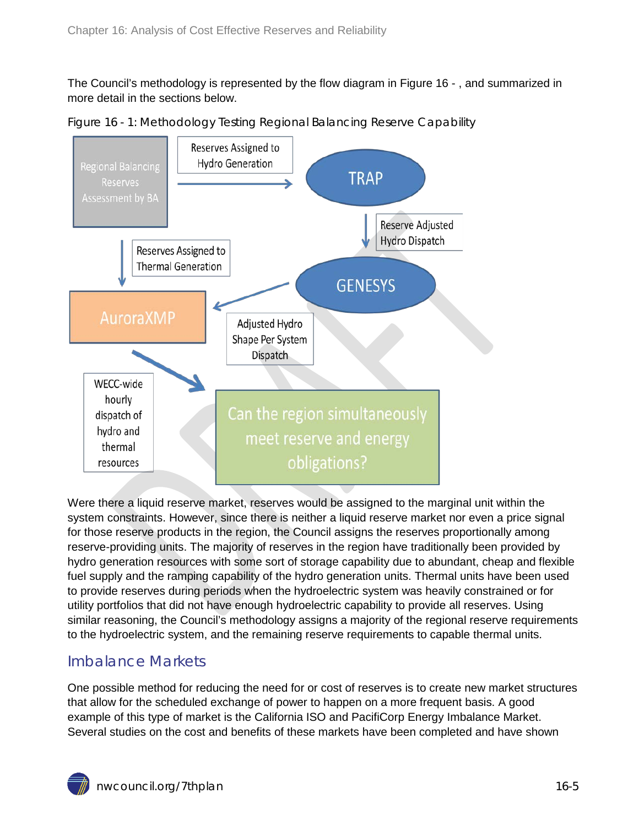The Council's methodology is represented by the flow diagram in [Figure 16 -](#page-4-1) , and summarized in more detail in the sections below.



<span id="page-4-1"></span>Figure 16 - 1: Methodology Testing Regional Balancing Reserve Capability

Were there a liquid reserve market, reserves would be assigned to the marginal unit within the system constraints. However, since there is neither a liquid reserve market nor even a price signal for those reserve products in the region, the Council assigns the reserves proportionally among reserve-providing units. The majority of reserves in the region have traditionally been provided by hydro generation resources with some sort of storage capability due to abundant, cheap and flexible fuel supply and the ramping capability of the hydro generation units. Thermal units have been used to provide reserves during periods when the hydroelectric system was heavily constrained or for utility portfolios that did not have enough hydroelectric capability to provide all reserves. Using similar reasoning, the Council's methodology assigns a majority of the regional reserve requirements to the hydroelectric system, and the remaining reserve requirements to capable thermal units.

#### <span id="page-4-0"></span>Imbalance Markets

One possible method for reducing the need for or cost of reserves is to create new market structures that allow for the scheduled exchange of power to happen on a more frequent basis. A good example of this type of market is the California ISO and PacifiCorp Energy Imbalance Market. Several studies on the cost and benefits of these markets have been completed and have shown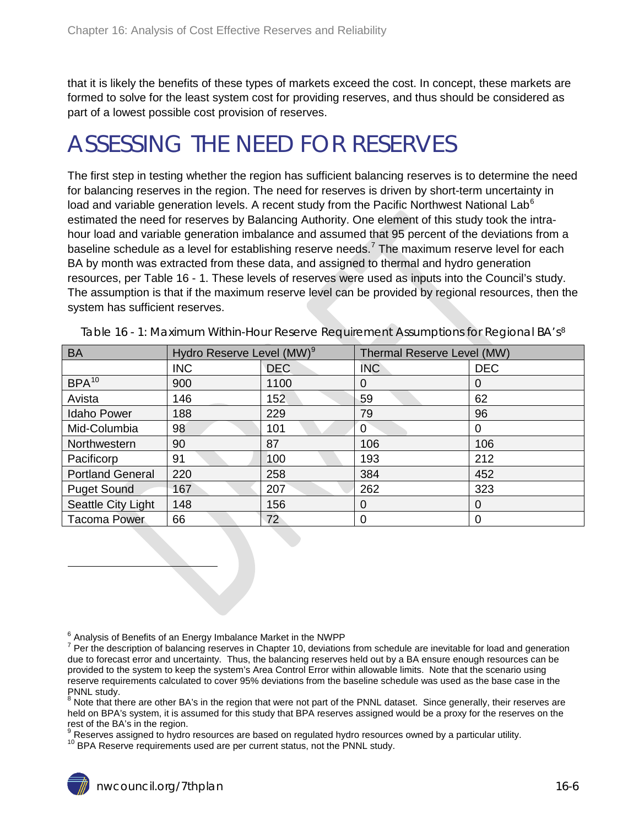that it is likely the benefits of these types of markets exceed the cost. In concept, these markets are formed to solve for the least system cost for providing reserves, and thus should be considered as part of a lowest possible cost provision of reserves.

## <span id="page-5-0"></span>ASSESSING THE NEED FOR RESERVES

The first step in testing whether the region has sufficient balancing reserves is to determine the need for balancing reserves in the region. The need for reserves is driven by short-term uncertainty in load and variable generation levels. A recent study from the Pacific Northwest National Lab<sup>[6](#page-3-1)</sup> estimated the need for reserves by Balancing Authority. One element of this study took the intrahour load and variable generation imbalance and assumed that 95 percent of the deviations from a baseline schedule as a level for establishing reserve needs.<sup>[7](#page-5-2)</sup> The maximum reserve level for each BA by month was extracted from these data, and assigned to thermal and hydro generation resources, per [Table 16 -](#page-5-1) 1. These levels of reserves were used as inputs into the Council's study. The assumption is that if the maximum reserve level can be provided by regional resources, then the system has sufficient reserves.

| <b>BA</b>               | Hydro Reserve Level (MW) <sup>9</sup> |            | Thermal Reserve Level (MW) |            |  |  |
|-------------------------|---------------------------------------|------------|----------------------------|------------|--|--|
|                         | <b>INC</b>                            | <b>DEC</b> | INC                        | <b>DEC</b> |  |  |
| BPA <sup>10</sup>       | 900                                   | 1100       | O                          | 0          |  |  |
| Avista                  | 146                                   | 152        | 59                         | 62         |  |  |
| <b>Idaho Power</b>      | 188                                   | 229        | 79                         | 96         |  |  |
| Mid-Columbia            | 98                                    | 101        | $\Omega$                   | 0          |  |  |
| Northwestern            | 90                                    | 87         | 106                        | 106        |  |  |
| Pacificorp              | 91                                    | 100        | 193                        | 212        |  |  |
| <b>Portland General</b> | 220                                   | 258        | 384                        | 452        |  |  |
| <b>Puget Sound</b>      | 167                                   | 207        | 262                        | 323        |  |  |
| Seattle City Light      | 148                                   | 156        | $\Omega$                   | 0          |  |  |
| <b>Tacoma Power</b>     | 66                                    | 72         | 0                          | 0          |  |  |

<span id="page-5-1"></span>Table 16 - 1: Maximum Within-Hour Reserve Requirement Assumptions for Regional BA's<sup>[8](#page-5-3)</sup>

<span id="page-5-3"></span>8 Note that there are other BA's in the region that were not part of the PNNL dataset. Since generally, their reserves are held on BPA's system, it is assumed for this study that BPA reserves assigned would be a proxy for the reserves on the rest of the BA's in the region.

<span id="page-5-5"></span><span id="page-5-4"></span> $^\mathrm{9}$  Reserves assigned to hydro resources are based on regulated hydro resources owned by a particular utility.<br><sup>10</sup> BPA Reserve requirements used are per current status, not the PNNL study.

-

<span id="page-5-2"></span> $^6$  Analysis of Benefits of an Energy Imbalance Market in the NWPP<br><sup>7</sup> Per the description of balancing reserves in Chapter 10, deviations from schedule are inevitable for load and generation due to forecast error and uncertainty. Thus, the balancing reserves held out by a BA ensure enough resources can be provided to the system to keep the system's Area Control Error within allowable limits. Note that the scenario using reserve requirements calculated to cover 95% deviations from the baseline schedule was used as the base case in the PNNL study.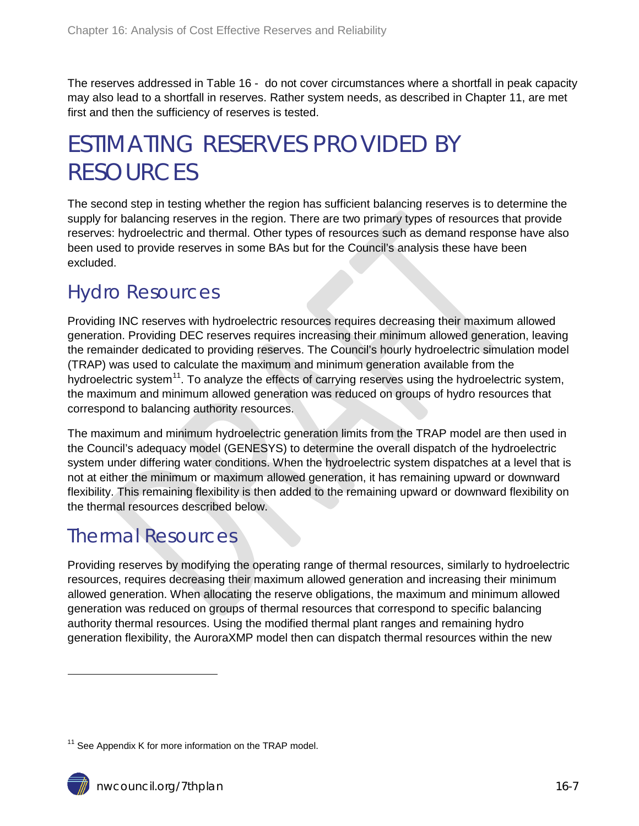The reserves addressed in [Table 16 -](#page-11-1) do not cover circumstances where a shortfall in peak capacity may also lead to a shortfall in reserves. Rather system needs, as described in Chapter 11, are met first and then the sufficiency of reserves is tested.

## <span id="page-6-0"></span>ESTIMATING RESERVES PROVIDED BY RESOURCES

The second step in testing whether the region has sufficient balancing reserves is to determine the supply for balancing reserves in the region. There are two primary types of resources that provide reserves: hydroelectric and thermal. Other types of resources such as demand response have also been used to provide reserves in some BAs but for the Council's analysis these have been excluded.

### <span id="page-6-1"></span>Hydro Resources

Providing INC reserves with hydroelectric resources requires decreasing their maximum allowed generation. Providing DEC reserves requires increasing their minimum allowed generation, leaving the remainder dedicated to providing reserves. The Council's hourly hydroelectric simulation model (TRAP) was used to calculate the maximum and minimum generation available from the hydroelectric system<sup>[11](#page-5-5)</sup>. To analyze the effects of carrying reserves using the hydroelectric system, the maximum and minimum allowed generation was reduced on groups of hydro resources that correspond to balancing authority resources.

The maximum and minimum hydroelectric generation limits from the TRAP model are then used in the Council's adequacy model (GENESYS) to determine the overall dispatch of the hydroelectric system under differing water conditions. When the hydroelectric system dispatches at a level that is not at either the minimum or maximum allowed generation, it has remaining upward or downward flexibility. This remaining flexibility is then added to the remaining upward or downward flexibility on the thermal resources described below.

### <span id="page-6-2"></span>Thermal Resources

Providing reserves by modifying the operating range of thermal resources, similarly to hydroelectric resources, requires decreasing their maximum allowed generation and increasing their minimum allowed generation. When allocating the reserve obligations, the maximum and minimum allowed generation was reduced on groups of thermal resources that correspond to specific balancing authority thermal resources. Using the modified thermal plant ranges and remaining hydro generation flexibility, the AuroraXMP model then can dispatch thermal resources within the new

<span id="page-6-3"></span> $11$  See Appendix K for more information on the TRAP model.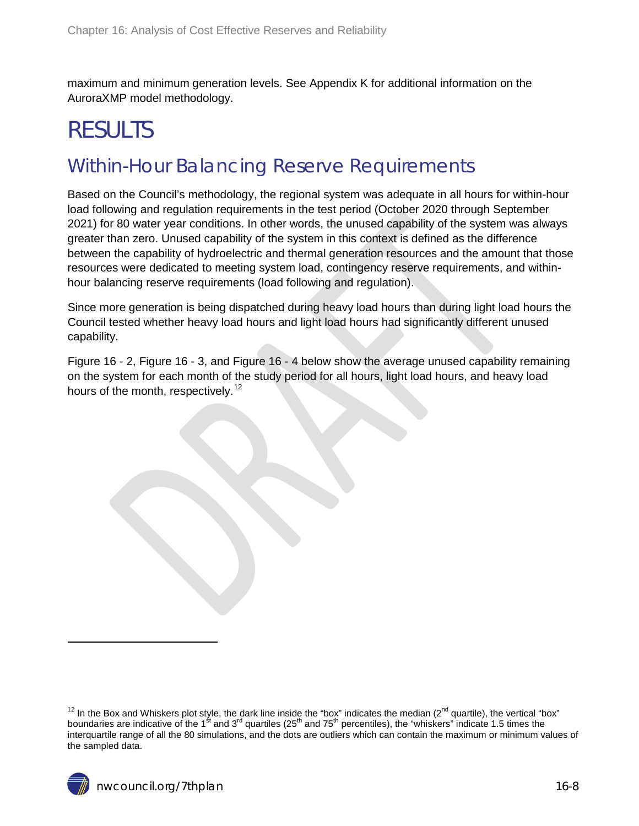maximum and minimum generation levels. See Appendix K for additional information on the AuroraXMP model methodology.

## <span id="page-7-0"></span>RESULTS

### <span id="page-7-1"></span>Within-Hour Balancing Reserve Requirements

Based on the Council's methodology, the regional system was adequate in all hours for within-hour load following and regulation requirements in the test period (October 2020 through September 2021) for 80 water year conditions. In other words, the unused capability of the system was always greater than zero. Unused capability of the system in this context is defined as the difference between the capability of hydroelectric and thermal generation resources and the amount that those resources were dedicated to meeting system load, contingency reserve requirements, and withinhour balancing reserve requirements (load following and regulation).

Since more generation is being dispatched during heavy load hours than during light load hours the Council te[sted whether heavy load hours and light load hours](#page-7-2) had significantly different unused capability.

<span id="page-7-2"></span>[Figure 16 -](#page-7-2) 2, [Figure 16 -](#page-9-0) 3, and [Figure 16 -](#page-10-0) 4 below show the average unused capability remaining on the system for each month of the study period for all hours, light load hours, and heavy load hours of the month, respectively.<sup>[12](#page-6-3)</sup>

<sup>&</sup>lt;sup>12</sup> In the Box and Whiskers plot style, the dark line inside the "box" indicates the median (2<sup>nd</sup> quartile), the vertical "box" boundaries are indicative of the 1<sup>st</sup> and 3<sup>rd</sup> quartiles (25<sup>th</sup> and 75<sup>th</sup> percentiles), the "whiskers" indicate 1.5 times the interquartile range of all the 80 simulations, and the dots are outliers which can contain the maximum or minimum values of the sampled data.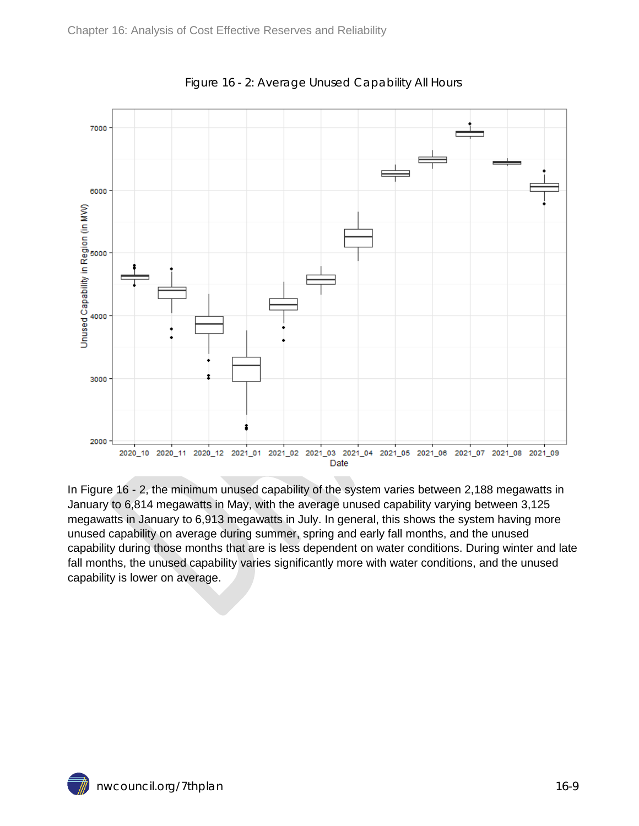<span id="page-8-0"></span>

Figure 16 - 2: Average Unused Capability All Hours

In Figure 16 - 2, the minimum unused capability of the system varies between 2,188 megawatts in January to 6,814 megawatts in May, with the average unused capability varying between 3,125 megawatts in January to 6,913 megawatts in July. In general, this shows the system having more unused capability on average during summer, spring and early fall months, and the unused capability during those months that are is less dependent on water conditions. During winter and late fall months, the unused capability varies significantly more with water conditions, and the unused capability is lower on average.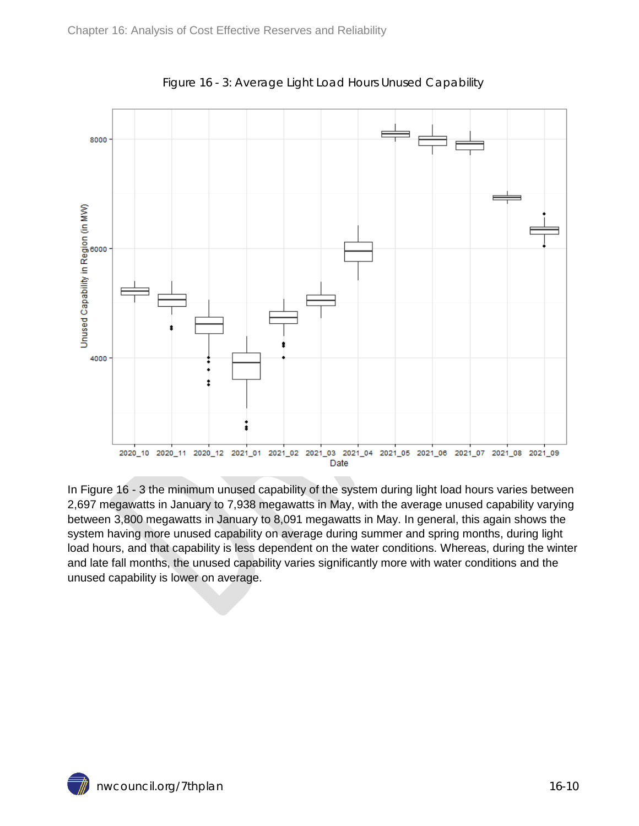<span id="page-9-0"></span>

Figure 16 - 3: Average Light Load Hours Unused Capability

<span id="page-9-1"></span>In Figure 16 - 3 the minimum unused capability of the system during light load hours varies between 2,697 megawatts in January to 7,938 megawatts in May, with the average unused capability varying between 3,800 megawatts in January to 8,091 megawatts in May. In general, this again shows the system having more unused capability on average during summer and spring months, during light load hours, and that capability is less dependent on the water conditions. Whereas, during the winter and late fall months, the unused capability varies significantly more with water conditions and the unused capability is lower on average.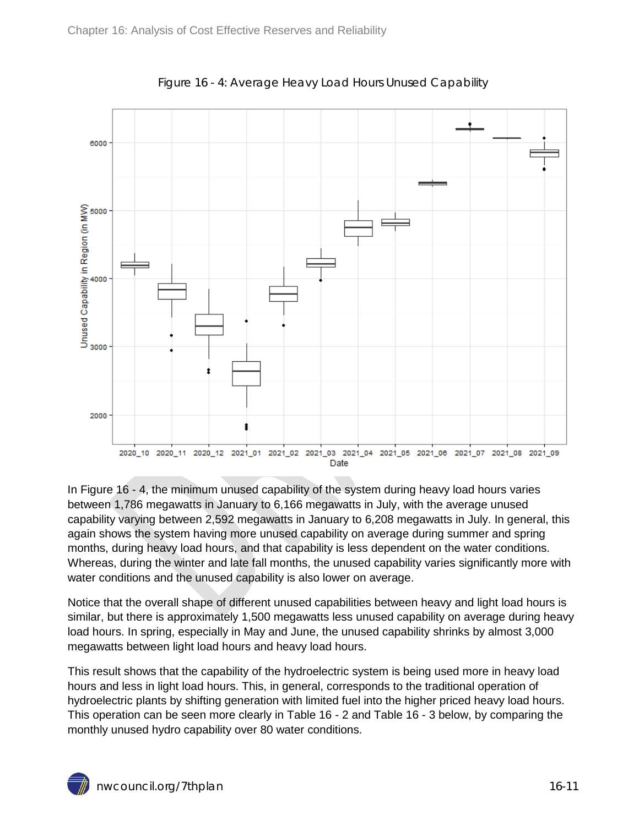<span id="page-10-0"></span>

Figure 16 - 4: Average Heavy Load Hours Unused Capability

In Figure 16 - 4, the minimum unused capability of the system during heavy load hours varies between 1,786 megawatts in January to 6,166 megawatts in July, with the average unused capability varying between 2,592 megawatts in January to 6,208 megawatts in July. In general, this again shows the system having more unused capability on average during summer and spring months, during heavy load hours, and that capability is less dependent on the water conditions. Whereas, during the winter and late fall months, the unused capability varies significantly more with water conditions and the unused capability is also lower on average.

Notice that the overall shape of different unused capabilities between heavy and light load hours is similar, but there is approximately 1,500 megawatts less unused capability on average during heavy load hours. In spring, especially in May and June, the unused capability shrinks by almost 3,000 megawatts between light load hours and heavy load hours.

This result shows that the capability of the hydroelectric system is being used more in heavy load hours and less in light load hours. This, in general, corresponds to the traditional operation of hydroelectric plants by shifting generation with limited fuel into the higher priced heavy load hours. This operation can be seen more clearly in [Table 16 -](#page-11-1) 2 and [Table 16 -](#page-11-2) 3 below, by comparing the monthly unused hydro capability over 80 water conditions.